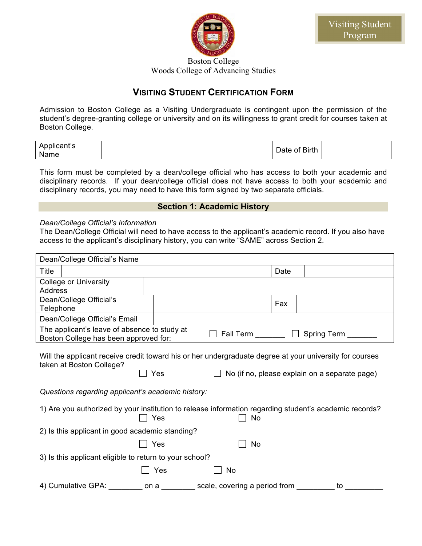

Boston College Woods College of Advancing Studies

## **VISITING STUDENT CERTIFICATION FORM**

Admission to Boston College as a Visiting Undergraduate is contingent upon the permission of the student's degree-granting college or university and on its willingness to grant credit for courses taken at Boston College.

| Applicant's<br>Name | Date of Birth |  |
|---------------------|---------------|--|
|---------------------|---------------|--|

This form must be completed by a dean/college official who has access to both your academic and disciplinary records. If your dean/college official does not have access to both your academic and disciplinary records, you may need to have this form signed by two separate officials.

## **Section 1: Academic History**

## *Dean/College Official's Information*

The Dean/College Official will need to have access to the applicant's academic record. If you also have access to the applicant's disciplinary history, you can write "SAME" across Section 2.

|           | Dean/College Official's Name                                                          |      |                                                                                                              |        |                                               |
|-----------|---------------------------------------------------------------------------------------|------|--------------------------------------------------------------------------------------------------------------|--------|-----------------------------------------------|
| Title     |                                                                                       |      |                                                                                                              | Date   |                                               |
| Address   | <b>College or University</b>                                                          |      |                                                                                                              |        |                                               |
| Telephone | Dean/College Official's                                                               |      |                                                                                                              | Fax    |                                               |
|           | Dean/College Official's Email                                                         |      |                                                                                                              |        |                                               |
|           | The applicant's leave of absence to study at<br>Boston College has been approved for: |      | Fall Term                                                                                                    | $\Box$ | Spring Term                                   |
|           | taken at Boston College?                                                              | Yes  | Will the applicant receive credit toward his or her undergraduate degree at your university for courses      |        | No (if no, please explain on a separate page) |
|           | Questions regarding applicant's academic history:                                     |      |                                                                                                              |        |                                               |
|           |                                                                                       | Yes  | 1) Are you authorized by your institution to release information regarding student's academic records?<br>No |        |                                               |
|           | 2) Is this applicant in good academic standing?                                       |      |                                                                                                              |        |                                               |
|           |                                                                                       | Yes  | No                                                                                                           |        |                                               |
|           | 3) Is this applicant eligible to return to your school?                               |      |                                                                                                              |        |                                               |
|           |                                                                                       | Yes  | No                                                                                                           |        |                                               |
|           | 4) Cumulative GPA:                                                                    | on a | scale, covering a period from                                                                                |        | to                                            |